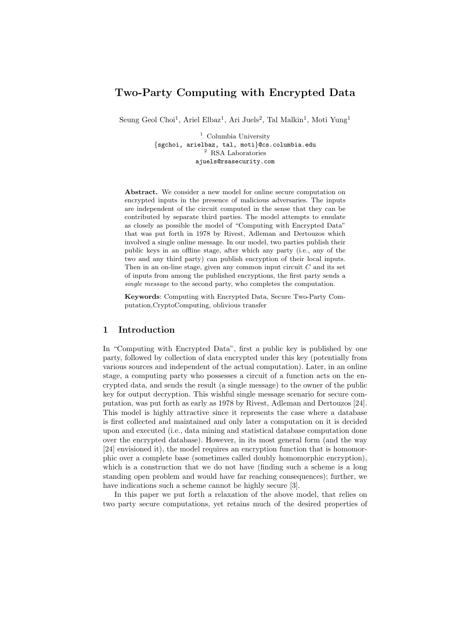# Two-Party Computing with Encrypted Data

Seung Geol Choi<sup>1</sup>, Ariel Elbaz<sup>1</sup>, Ari Juels<sup>2</sup>, Tal Malkin<sup>1</sup>, Moti Yung<sup>1</sup>

<sup>1</sup> Columbia University {sgchoi, arielbaz, tal, moti}@cs.columbia.edu <sup>2</sup> RSA Laboratories ajuels@rsasecurity.com

Abstract. We consider a new model for online secure computation on encrypted inputs in the presence of malicious adversaries. The inputs are independent of the circuit computed in the sense that they can be contributed by separate third parties. The model attempts to emulate as closely as possible the model of "Computing with Encrypted Data" that was put forth in 1978 by Rivest, Adleman and Dertouzos which involved a single online message. In our model, two parties publish their public keys in an offline stage, after which any party (i.e., any of the two and any third party) can publish encryption of their local inputs. Then in an on-line stage, given any common input circuit  $C$  and its set of inputs from among the published encryptions, the first party sends a single message to the second party, who completes the computation.

Keywords: Computing with Encrypted Data, Secure Two-Party Computation,CryptoComputing, oblivious transfer

# 1 Introduction

In "Computing with Encrypted Data", first a public key is published by one party, followed by collection of data encrypted under this key (potentially from various sources and independent of the actual computation). Later, in an online stage, a computing party who possesses a circuit of a function acts on the encrypted data, and sends the result (a single message) to the owner of the public key for output decryption. This wishful single message scenario for secure computation, was put forth as early as 1978 by Rivest, Adleman and Dertouzos [24]. This model is highly attractive since it represents the case where a database is first collected and maintained and only later a computation on it is decided upon and executed (i.e., data mining and statistical database computation done over the encrypted database). However, in its most general form (and the way [24] envisioned it), the model requires an encryption function that is homomorphic over a complete base (sometimes called doubly homomorphic encryption), which is a construction that we do not have (finding such a scheme is a long standing open problem and would have far reaching consequences); further, we have indications such a scheme cannot be highly secure [3].

In this paper we put forth a relaxation of the above model, that relies on two party secure computations, yet retains much of the desired properties of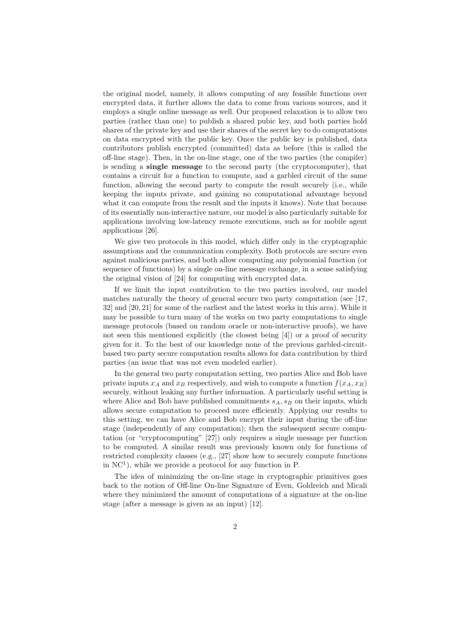the original model, namely, it allows computing of any feasible functions over encrypted data, it further allows the data to come from various sources, and it employs a single online message as well. Our proposed relaxation is to allow two parties (rather than one) to publish a shared pubic key, and both parties hold shares of the private key and use their shares of the secret key to do computations on data encrypted with the public key. Once the public key is published, data contributors publish encrypted (committed) data as before (this is called the off-line stage). Then, in the on-line stage, one of the two parties (the compiler) is sending a single message to the second party (the cryptocomputer), that contains a circuit for a function to compute, and a garbled circuit of the same function, allowing the second party to compute the result securely (i.e., while keeping the inputs private, and gaining no computational advantage beyond what it can compute from the result and the inputs it knows). Note that because of its essentially non-interactive nature, our model is also particularly suitable for applications involving low-latency remote executions, such as for mobile agent applications [26].

We give two protocols in this model, which differ only in the cryptographic assumptions and the communication complexity. Both protocols are secure even against malicious parties, and both allow computing any polynomial function (or sequence of functions) by a single on-line message exchange, in a sense satisfying the original vision of [24] for computing with encrypted data.

If we limit the input contribution to the two parties involved, our model matches naturally the theory of general secure two party computation (see [17, 32] and [20, 21] for some of the earliest and the latest works in this area). While it may be possible to turn many of the works on two party computations to single message protocols (based on random oracle or non-interactive proofs), we have not seen this mentioned explicitly (the closest being [4]) or a proof of security given for it. To the best of our knowledge none of the previous garbled-circuitbased two party secure computation results allows for data contribution by third parties (an issue that was not even modeled earlier).

In the general two party computation setting, two parties Alice and Bob have private inputs  $x_A$  and  $x_B$  respectively, and wish to compute a function  $f(x_A, x_B)$ securely, without leaking any further information. A particularly useful setting is where Alice and Bob have published commitments  $s_A$ ,  $s_B$  on their inputs, which allows secure computation to proceed more efficiently. Applying our results to this setting, we can have Alice and Bob encrypt their input during the off-line stage (independently of any computation); then the subsequent secure computation (or "cryptocomputing" [27]) only requires a single message per function to be computed. A similar result was previously known only for functions of restricted complexity classes (e.g., [27] show how to securely compute functions in  $NC<sup>1</sup>$ ), while we provide a protocol for any function in P.

The idea of minimizing the on-line stage in cryptographic primitives goes back to the notion of Off-line On-line Signature of Even, Goldreich and Micali where they minimized the amount of computations of a signature at the on-line stage (after a message is given as an input) [12].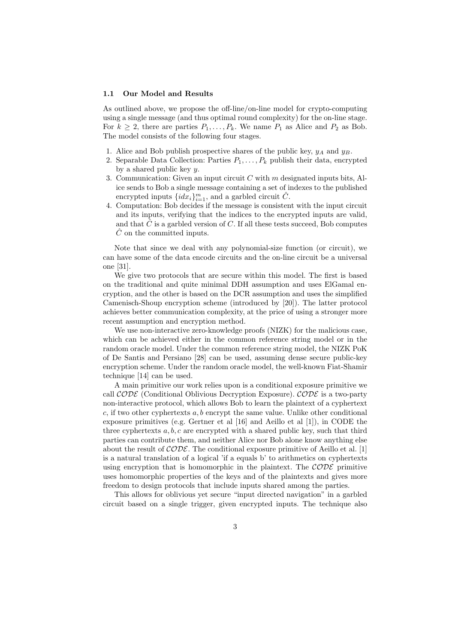#### 1.1 Our Model and Results

As outlined above, we propose the off-line/on-line model for crypto-computing using a single message (and thus optimal round complexity) for the on-line stage. For  $k \geq 2$ , there are parties  $P_1, \ldots, P_k$ . We name  $P_1$  as Alice and  $P_2$  as Bob. The model consists of the following four stages.

- 1. Alice and Bob publish prospective shares of the public key,  $y_A$  and  $y_B$ .
- 2. Separable Data Collection: Parties  $P_1, \ldots, P_k$  publish their data, encrypted by a shared public key  $y$ .
- 3. Communication: Given an input circuit  $C$  with  $m$  designated inputs bits, Alice sends to Bob a single message containing a set of indexes to the published encrypted inputs  $\{idx_i\}_{i=1}^m$ , and a garbled circuit  $\hat{C}$ .
- 4. Computation: Bob decides if the message is consistent with the input circuit and its inputs, verifying that the indices to the encrypted inputs are valid, and that  $C$  is a garbled version of  $C$ . If all these tests succeed, Bob computes  $\hat{C}$  on the committed inputs.

Note that since we deal with any polynomial-size function (or circuit), we can have some of the data encode circuits and the on-line circuit be a universal one [31].

We give two protocols that are secure within this model. The first is based on the traditional and quite minimal DDH assumption and uses ElGamal encryption, and the other is based on the DCR assumption and uses the simplified Camenisch-Shoup encryption scheme (introduced by [20]). The latter protocol achieves better communication complexity, at the price of using a stronger more recent assumption and encryption method.

We use non-interactive zero-knowledge proofs (NIZK) for the malicious case, which can be achieved either in the common reference string model or in the random oracle model. Under the common reference string model, the NIZK PoK of De Santis and Persiano [28] can be used, assuming dense secure public-key encryption scheme. Under the random oracle model, the well-known Fiat-Shamir technique [14] can be used.

A main primitive our work relies upon is a conditional exposure primitive we call  $\mathcal{CODE}$  (Conditional Oblivious Decryption Exposure).  $\mathcal{CODE}$  is a two-party non-interactive protocol, which allows Bob to learn the plaintext of a cyphertext  $c$ , if two other cyphertexts  $a, b$  encrypt the same value. Unlike other conditional exposure primitives (e.g. Gertner et al [16] and Aeillo et al [1]), in CODE the three cyphertexts  $a, b, c$  are encrypted with a shared public key, such that third parties can contribute them, and neither Alice nor Bob alone know anything else about the result of  $\mathcal{CODE}$ . The conditional exposure primitive of Aeillo et al. [1] is a natural translation of a logical 'if a equals b' to arithmetics on cyphertexts using encryption that is homomorphic in the plaintext. The  $\mathcal{CODE}$  primitive uses homomorphic properties of the keys and of the plaintexts and gives more freedom to design protocols that include inputs shared among the parties.

This allows for oblivious yet secure "input directed navigation" in a garbled circuit based on a single trigger, given encrypted inputs. The technique also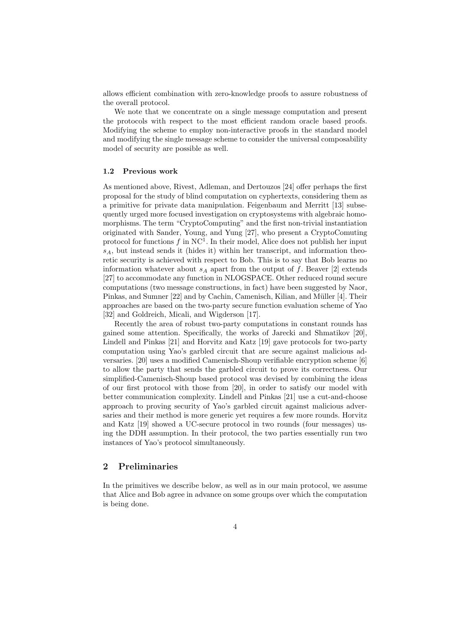allows efficient combination with zero-knowledge proofs to assure robustness of the overall protocol.

We note that we concentrate on a single message computation and present the protocols with respect to the most efficient random oracle based proofs. Modifying the scheme to employ non-interactive proofs in the standard model and modifying the single message scheme to consider the universal composability model of security are possible as well.

# 1.2 Previous work

As mentioned above, Rivest, Adleman, and Dertouzos [24] offer perhaps the first proposal for the study of blind computation on cyphertexts, considering them as a primitive for private data manipulation. Feigenbaum and Merritt [13] subsequently urged more focused investigation on cryptosystems with algebraic homomorphisms. The term "CryptoComputing" and the first non-trivial instantiation originated with Sander, Young, and Yung [27], who present a CryptoComuting protocol for functions  $f$  in NC<sup>1</sup>. In their model, Alice does not publish her input  $s_A$ , but instead sends it (hides it) within her transcript, and information theoretic security is achieved with respect to Bob. This is to say that Bob learns no information whatever about  $s_A$  apart from the output of f. Beaver [2] extends [27] to accommodate any function in NLOGSPACE. Other reduced round secure computations (two message constructions, in fact) have been suggested by Naor, Pinkas, and Sumner [22] and by Cachin, Camenisch, Kilian, and Müller [4]. Their approaches are based on the two-party secure function evaluation scheme of Yao [32] and Goldreich, Micali, and Wigderson [17].

Recently the area of robust two-party computations in constant rounds has gained some attention. Specifically, the works of Jarecki and Shmatikov [20], Lindell and Pinkas [21] and Horvitz and Katz [19] gave protocols for two-party computation using Yao's garbled circuit that are secure against malicious adversaries. [20] uses a modified Camenisch-Shoup verifiable encryption scheme [6] to allow the party that sends the garbled circuit to prove its correctness. Our simplified-Camenisch-Shoup based protocol was devised by combining the ideas of our first protocol with those from [20], in order to satisfy our model with better communication complexity. Lindell and Pinkas [21] use a cut-and-choose approach to proving security of Yao's garbled circuit against malicious adversaries and their method is more generic yet requires a few more rounds. Horvitz and Katz [19] showed a UC-secure protocol in two rounds (four messages) using the DDH assumption. In their protocol, the two parties essentially run two instances of Yao's protocol simultaneously.

# 2 Preliminaries

In the primitives we describe below, as well as in our main protocol, we assume that Alice and Bob agree in advance on some groups over which the computation is being done.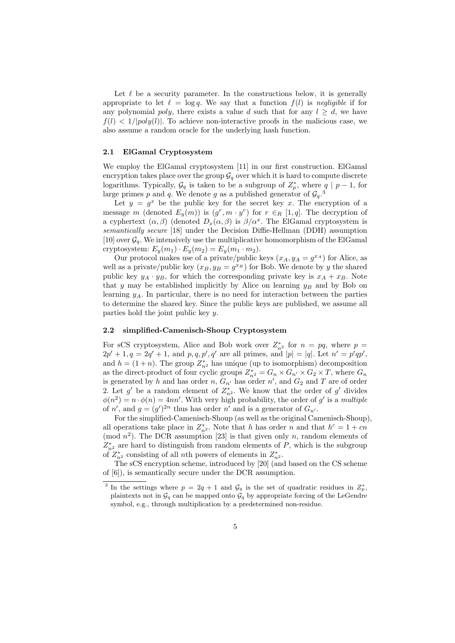Let  $\ell$  be a security parameter. In the constructions below, it is generally appropriate to let  $\ell = \log q$ . We say that a function  $f(l)$  is negligible if for any polynomial poly, there exists a value d such that for any  $l \geq d$ , we have  $f(l) < 1/|poly(l)|$ . To achieve non-interactive proofs in the malicious case, we also assume a random oracle for the underlying hash function.

# 2.1 ElGamal Cryptosystem

We employ the ElGamal cryptosystem [11] in our first construction. ElGamal encryption takes place over the group  $\mathcal{G}_q$  over which it is hard to compute discrete logarithms. Typically,  $\mathcal{G}_q$  is taken to be a subgroup of  $Z_p^*$ , where  $q | p - 1$ , for large primes p and q. We denote g as a published generator of  $\mathcal{G}_q$ .<sup>3</sup>

Let  $y = g^x$  be the public key for the secret key x. The encryption of a message m (denoted  $E_y(m)$ ) is  $(g^r, m \cdot y^r)$  for  $r \in_R [1, q]$ . The decryption of a cyphertext  $(\alpha, \beta)$  (denoted  $D_x(\alpha, \beta)$  is  $\beta/\alpha^x$ . The ElGamal cryptosystem is semantically secure [18] under the Decision Diffie-Hellman (DDH) assumption [10] over  $\mathcal{G}_q$ . We intensively use the multiplicative homomorphism of the ElGamal cryptosystem:  $E_y(m_1) \cdot E_y(m_2) = E_y(m_1 \cdot m_2)$ .

Our protocol makes use of a private/public keys  $(x_A, y_A = g^{x_A})$  for Alice, as well as a private/public key  $(x_B, y_B = g^{x_B})$  for Bob. We denote by y the shared public key  $y_A \cdot y_B$ , for which the corresponding private key is  $x_A + x_B$ . Note that y may be established implicitly by Alice on learning  $y_B$  and by Bob on learning  $y_A$ . In particular, there is no need for interaction between the parties to determine the shared key. Since the public keys are published, we assume all parties hold the joint public key y.

#### 2.2 simplified-Camenisch-Shoup Cryptosystem

For sCS cryptosystem, Alice and Bob work over  $Z_{n^2}^*$  for  $n = pq$ , where  $p =$  $2p' + 1, q = 2q' + 1$ , and p, q, p', q' are all primes, and  $|p| = |q|$ . Let  $n' = p'qp'$ , and  $h = (1 + n)$ . The group  $Z_{n^2}^*$  has unique (up to isomorphism) decomposition as the direct-product of four cyclic groups  $Z_{n^2}^* = G_n \times G_{n'} \times G_2 \times T$ , where  $G_n$ is generated by h and has order  $n, G_{n'}$  has order  $n'$ , and  $G_2$  and T are of order 2. Let g' be a random element of  $Z_{n^2}^*$ . We know that the order of g' divides  $\phi(n^2) = n \cdot \phi(n) = 4nn'$ . With very high probability, the order of g' is a multiple of n', and  $g = (g')^{2n}$  thus has order n' and is a generator of  $G_{n'}$ .

For the simplified-Camenisch-Shoup (as well as the original Camenisch-Shoup), all operations take place in  $Z_{n^2}^*$ . Note that h has order n and that  $h^c = 1 + cn$ (mod  $n^2$ ). The DCR assumption [23] is that given only n, random elements of  $Z_{n^2}^*$  are hard to distinguish from random elements of P, which is the subgroup of  $Z_{n^2}^*$  consisting of all *nth* powers of elements in  $Z_{n^2}^*$ .

The sCS encryption scheme, introduced by [20] (and based on the CS scheme of [6]), is semantically secure under the DCR assumption.

<sup>&</sup>lt;sup>3</sup> In the settings where  $p = 2q + 1$  and  $\mathcal{G}_q$  is the set of quadratic residues in  $Z_p^*$ , plaintexts not in  $\mathcal{G}_q$  can be mapped onto  $\mathcal{G}_q$  by appropriate forcing of the LeGendre symbol, e.g., through multiplication by a predetermined non-residue.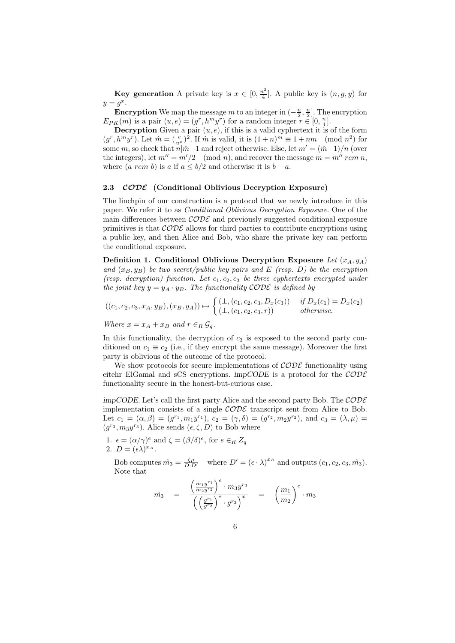**Key generation** A private key is  $x \in [0, \frac{n^2}{4}]$  $\frac{a^2}{4}$ . A public key is  $(n, g, y)$  for  $y = g^x$ .

**Encryption** We map the message m to an integer in  $\left(-\frac{n}{2}, \frac{n}{2}\right]$ . The encryption  $E_{PK}(m)$  is a pair  $(u, e) = (g^r, h^m y^r)$  for a random integer  $r \in [0, \frac{n}{4}]$ .

**Decryption** Given a pair  $(u, e)$ , if this is a valid cyphertext it is of the form  $(g^r, h^m y^r)$ . Let  $\hat{m} = (\frac{e}{u^x})^2$ . If  $\hat{m}$  is valid, it is  $(1+n)^m \equiv 1 + nm \pmod{n^2}$  for some m, so check that  $n|\hat{m}-1$  and reject otherwise. Else, let  $m' = (\hat{m}-1)/n$  (over the integers), let  $m'' = m'/2 \pmod{n}$ , and recover the message  $m = m''$  rem n, where  $(a \text{ rem } b)$  is a if  $a \leq b/2$  and otherwise it is  $b - a$ .

# 2.3  $\mathcal{CODE}$  (Conditional Oblivious Decryption Exposure)

The linchpin of our construction is a protocol that we newly introduce in this paper. We refer it to as Conditional Oblivious Decryption Exposure. One of the main differences between  $\mathcal{CODE}$  and previously suggested conditional exposure primitives is that  $\mathcal{CODE}$  allows for third parties to contribute encryptions using a public key, and then Alice and Bob, who share the private key can perform the conditional exposure.

Definition 1. Conditional Oblivious Decryption Exposure Let  $(x_A, y_A)$ and  $(x_B, y_B)$  be two secret/public key pairs and E (resp. D) be the encryption (resp. decryption) function. Let  $c_1, c_2, c_3$  be three cyphertexts encrypted under the joint key  $y = y_A \cdot y_B$ . The functionality CODE is defined by

$$
((c_1, c_2, c_3, x_A, y_B), (x_B, y_A)) \mapsto \begin{cases} (\perp, (c_1, c_2, c_3, D_x(c_3)) & \text{if } D_x(c_1) = D_x(c_2) \\ (\perp, (c_1, c_2, c_3, r)) & \text{otherwise.} \end{cases}
$$

Where  $x = x_A + x_B$  and  $r \in_R \mathcal{G}_q$ .

In this functionality, the decryption of  $c_3$  is exposed to the second party conditioned on  $c_1 \equiv c_2$  (i.e., if they encrypt the same message). Moreover the first party is oblivious of the outcome of the protocol.

We show protocols for secure implementations of  $\mathcal{CODE}$  functionality using eitehr ElGamal and sCS encryptions. impCODE is a protocol for the  $\mathcal{CODE}$ functionality secure in the honest-but-curious case.

impCODE. Let's call the first party Alice and the second party Bob. The  $\mathcal{CODE}$ implementation consists of a single  $\mathcal{CODE}$  transcript sent from Alice to Bob. Let  $c_1 = (\alpha, \beta) = (g^{r_1}, m_1y^{r_1}), c_2 = (\gamma, \delta) = (g^{r_2}, m_2y^{r_2}),$  and  $c_3 = (\lambda, \mu) =$  $(g^{r_3}, m_3y^{r_3})$ . Alice sends  $(\epsilon, \zeta, D)$  to Bob where

1.  $\epsilon = (\alpha/\gamma)^e$  and  $\zeta = (\beta/\delta)^e$ , for  $e \in_R Z_q$ 2.  $D = (\epsilon \lambda)^{x_A}$ .

Bob computes  $\tilde{m}_3 = \frac{\zeta \mu}{D \cdot D'}$  where  $D' = (\epsilon \cdot \lambda)^{x_B}$  and outputs  $(c_1, c_2, c_3, \tilde{m}_3)$ . Note that

$$
\tilde{m_{3}} \quad = \quad \frac{\left(\frac{m_{1}y^{r_{1}}}{m_{2}y^{r_{2}}}\right)^{e}\cdot m_{3}y^{r_{3}}}{\left(\left(\frac{g^{r_{1}}}{g^{r_{2}}}\right)^{e}\cdot g^{r_{3}}\right)^{x}} \quad = \quad \left(\frac{m_{1}}{m_{2}}\right)^{e}\cdot m_{3}
$$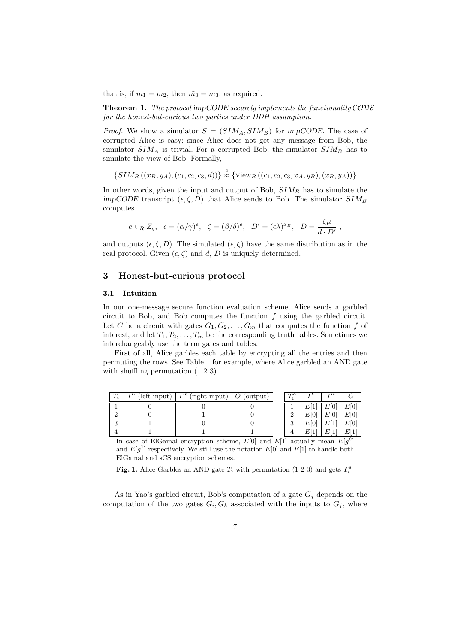that is, if  $m_1 = m_2$ , then  $\tilde{m_3} = m_3$ , as required.

**Theorem 1.** The protocol impCODE securely implements the functionality  $\mathcal{CODE}$ for the honest-but-curious two parties under DDH assumption.

*Proof.* We show a simulator  $S = (SIM_A, SIM_B)$  for impCODE. The case of corrupted Alice is easy; since Alice does not get any message from Bob, the simulator  $SIM_A$  is trivial. For a corrupted Bob, the simulator  $SIM_B$  has to simulate the view of Bob. Formally,

$$
\{SIM_B((x_B, y_A), (c_1, c_2, c_3, d))\} \stackrel{c}{\approx} \{View_B((c_1, c_2, c_3, x_A, y_B), (x_B, y_A))\}
$$

In other words, given the input and output of Bob,  $SIM_B$  has to simulate the impCODE transcript  $(\epsilon, \zeta, D)$  that Alice sends to Bob. The simulator  $SIM_B$ computes

$$
e \in_R Z_q
$$
,  $\epsilon = (\alpha/\gamma)^e$ ,  $\zeta = (\beta/\delta)^e$ ,  $D' = (\epsilon \lambda)^{x_B}$ ,  $D = \frac{\zeta \mu}{d \cdot D'}$ ,

and outputs  $(\epsilon, \zeta, D)$ . The simulated  $(\epsilon, \zeta)$  have the same distribution as in the real protocol. Given  $(\epsilon, \zeta)$  and d, D is uniquely determined.

#### 3 Honest-but-curious protocol

#### 3.1 Intuition

In our one-message secure function evaluation scheme, Alice sends a garbled circuit to Bob, and Bob computes the function  $f$  using the garbled circuit. Let C be a circuit with gates  $G_1, G_2, \ldots, G_m$  that computes the function f of interest, and let  $T_1, T_2, \ldots, T_m$  be the corresponding truth tables. Sometimes we interchangeably use the term gates and tables.

First of all, Alice garbles each table by encrypting all the entries and then permuting the rows. See Table 1 for example, where Alice garbled an AND gate with shuffling permutation  $(1 2 3)$ .

| $\perp$        | $(\text{left input})$<br>ГL | τК<br>(right input) | (output)<br>U | $\bm{\tau}$ a | ' K |  |
|----------------|-----------------------------|---------------------|---------------|---------------|-----|--|
|                |                             |                     |               |               |     |  |
| $\Omega$       |                             |                     |               | $\Omega$<br>∸ |     |  |
| $\Omega$<br>IJ |                             |                     |               | $\Omega$<br>Ω |     |  |
|                |                             |                     |               |               |     |  |

In case of ElGamal encryption scheme,  $E[0]$  and  $E[1]$  actually mean  $E[g^0]$ and  $E[g^1]$  respectively. We still use the notation  $E[0]$  and  $E[1]$  to handle both ElGamal and sCS encryption schemes.

Fig. 1. Alice Garbles an AND gate  $T_i$  with permutation (1 2 3) and gets  $T_i^a$ .

As in Yao's garbled circuit, Bob's computation of a gate  $G_i$  depends on the computation of the two gates  $G_i, G_k$  associated with the inputs to  $G_j$ , where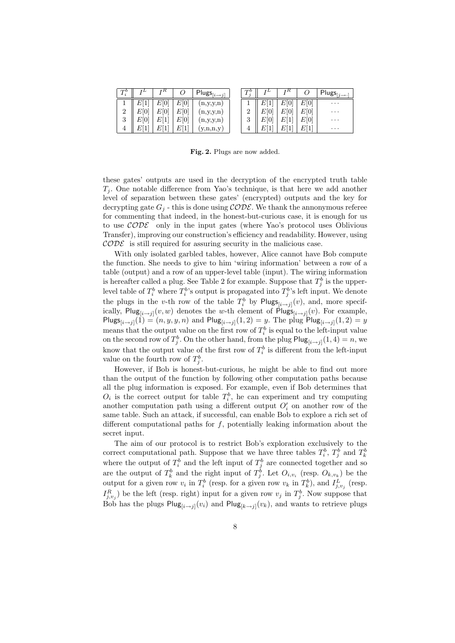| $1_i$          |      | n    |           | $\top$ Plugs $_{[i\rightarrow j]}$ | TU            |    | n    |      | Plugs <sub>1</sub><br>$\rightarrow$ . |
|----------------|------|------|-----------|------------------------------------|---------------|----|------|------|---------------------------------------|
|                |      | E[0] | E<br>[0]  | (n,y,y,n)                          |               | Ŧ  | E[0] | E[0] | $\cdots$                              |
| $\Omega$<br>∠  |      | E[0] | E[0]      | (n,y,y,n)                          | $\Omega$      | 0  | E    | E[0] | $\cdots$                              |
| 3              | E[0] |      | [0]<br>EΓ | (n,y,y,n)                          | $\Omega$<br>◡ | [O | E    | E[0] | $\cdots$                              |
| $\overline{4}$ |      |      | E         | $_{\rm (y,n,n,y)}$                 | ±             |    | E    | E    | $\cdots$                              |

Fig. 2. Plugs are now added.

these gates' outputs are used in the decryption of the encrypted truth table  $T_i$ . One notable difference from Yao's technique, is that here we add another level of separation between these gates' (encrypted) outputs and the key for decrypting gate  $G_i$  - this is done using  $\mathcal{CODE}$ . We thank the annonymous referee for commenting that indeed, in the honest-but-curious case, it is enough for us to use  $\mathcal{CODE}$  only in the input gates (where Yao's protocol uses Oblivious Transfer), improving our construction's efficiency and readability. However, using  $\mathcal{CODE}$  is still required for assuring security in the malicious case.

With only isolated garbled tables, however, Alice cannot have Bob compute the function. She needs to give to him 'wiring information' between a row of a table (output) and a row of an upper-level table (input). The wiring information is hereafter called a plug. See Table 2 for example. Suppose that  $T_j^b$  is the upperlevel table of  $T_i^b$  where  $T_i^b$ 's output is propagated into  $T_j^b$ 's left input. We denote the plugs in the v-th row of the table  $T_i^b$  by  $\text{Plugs}_{[i\rightarrow j]}(v)$ , and, more specifically,  $\text{Plug}_{[i\rightarrow j]}(v, w)$  denotes the w-th element of  $\text{Plugs}_{[i\rightarrow j]}(v)$ . For example, Plugs<sub>[i→j]</sub>(1) =  $(n, y, y, n)$  and Plug<sub>[i→j]</sub>(1,2) = y. The plug Plug<sub>[i→j]</sub>(1,2) = y means that the output value on the first row of  $T_i^b$  is equal to the left-input value on the second row of  $T_j^b$ . On the other hand, from the plug  $\text{Plug}_{[i\rightarrow j]}(1, 4) = n$ , we know that the output value of the first row of  $T_i^b$  is different from the left-input value on the fourth row of  $T_j^b$ .

However, if Bob is honest-but-curious, he might be able to find out more than the output of the function by following other computation paths because all the plug information is exposed. For example, even if Bob determines that  $O_i$  is the correct output for table  $T_i^b$ , he can experiment and try computing another computation path using a different output  $O_i'$  on another row of the same table. Such an attack, if successful, can enable Bob to explore a rich set of different computational paths for  $f$ , potentially leaking information about the secret input.

The aim of our protocol is to restrict Bob's exploration exclusively to the correct computational path. Suppose that we have three tables  $T_i^b$ ,  $T_j^b$  and  $T_k^b$ where the output of  $T_i^b$  and the left input of  $T_j^b$  are connected together and so are the output of  $T_k^b$  and the right input of  $T_j^b$ . Let  $O_{i,v_i}$  (resp.  $O_{k,v_k}$ ) be the output for a given row  $v_i$  in  $T_i^b$  (resp. for a given row  $v_k$  in  $T_k^b$ ), and  $I_{j,v_j}^L$  (resp.  $I_{j, v_j}^R$ ) be the left (resp. right) input for a given row  $v_j$  in  $T_j^b$ . Now suppose that Bob has the plugs  $\text{Plug}_{[i\rightarrow j]}(v_i)$  and  $\text{Plug}_{[k\rightarrow j]}(v_k)$ , and wants to retrieve plugs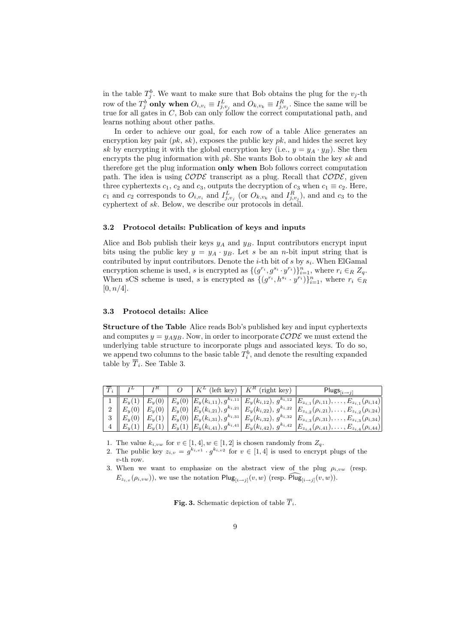in the table  $T_j^b$ . We want to make sure that Bob obtains the plug for the  $v_j$ -th row of the  $T_j^b$  only when  $O_{i,v_i} \equiv I_{j,v_j}^L$  and  $O_{k,v_k} \equiv I_{j,v_j}^R$ . Since the same will be true for all gates in C, Bob can only follow the correct computational path, and learns nothing about other paths.

In order to achieve our goal, for each row of a table Alice generates an encryption key pair  $(pk, sk)$ , exposes the public key pk, and hides the secret key sk by encrypting it with the global encryption key (i.e.,  $y = y_A \cdot y_B$ ). She then encrypts the plug information with  $pk$ . She wants Bob to obtain the key sk and therefore get the plug information only when Bob follows correct computation path. The idea is using  $\mathcal{CODE}$  transcript as a plug. Recall that  $\mathcal{CODE}$ , given three cyphertexts  $c_1$ ,  $c_2$  and  $c_3$ , outputs the decryption of  $c_3$  when  $c_1 \equiv c_2$ . Here,  $c_1$  and  $c_2$  corresponds to  $O_{i,v_i}$  and  $I_{j,v_j}^L$  (or  $O_{k,v_k}$  and  $I_{j,v_j}^R$ ), and and  $c_3$  to the cyphertext of sk. Below, we describe our protocols in detail.

#### 3.2 Protocol details: Publication of keys and inputs

Alice and Bob publish their keys  $y_A$  and  $y_B$ . Input contributors encrypt input bits using the public key  $y = y_A \cdot y_B$ . Let s be an n-bit input string that is contributed by input contributors. Denote the *i*-th bit of *s* by  $s_i$ . When ElGamal encryption scheme is used, s is encrypted as  $\{(g^{r_i}, g^{s_i} \cdot y^{r_i})\}_{i=1}^n$ , where  $r_i \in_R Z_q$ . When sCS scheme is used, s is encrypted as  $\{(g^{r_i}, h^{s_i} \cdot y^{r_i})\}_{i=1}^n$ , where  $r_i \in \mathbb{R}$  $[0, n/4]$ .

#### 3.3 Protocol details: Alice

Structure of the Table Alice reads Bob's published key and input cyphertexts and computes  $y = y_A y_B$ . Now, in order to incorporate  $\mathcal{CODE}$  we must extend the underlying table structure to incorporate plugs and associated keys. To do so, we append two columns to the basic table  $T_i^b$ , and denote the resulting expanded table by  $T_i$ . See Table 3.

| $T_i \parallel I^L$ |  | $\begin{array}{c c c c c} & O & K^L \end{array}$ (left key) $\begin{array}{c c c c} & K^R \end{array}$ (right key) | Plugs <sub>[i-i]</sub>                                                                                                                                                                                                                                                                                                                                                                                                                |
|---------------------|--|--------------------------------------------------------------------------------------------------------------------|---------------------------------------------------------------------------------------------------------------------------------------------------------------------------------------------------------------------------------------------------------------------------------------------------------------------------------------------------------------------------------------------------------------------------------------|
|                     |  |                                                                                                                    | $\boxed{1\parallel E_y(1)\parallel E_y(0)\parallel E_y(0)\parallel} E_y(k_{i,11}), g^{k_{i,11}}\parallel E_y(k_{i,12}),\ g^{k_{i,12}}\parallel E_{z_{i,1}}(\rho_{i,11}),\dots,E_{z_{i,1}}(\rho_{i,14})\parallel$                                                                                                                                                                                                                      |
|                     |  |                                                                                                                    | 2    $E_y(0)$    $E_y(0)$    $E_y(0)$    $E_y(k_{i,21}), g^{k_{i,21}}$    $E_y(k_{i,22}), g^{k_{i,22}}$    $E_{z_{i,2}}(\rho_{i,21}), \ldots, E_{z_{i,2}}(\rho_{i,24})$                                                                                                                                                                                                                                                               |
|                     |  |                                                                                                                    | $3 \parallel E_y(0) \parallel E_y(1) \parallel E_y(0) \parallel E_y(k_{i,31}), g^{k_{i,31}} \parallel E_y(k_{i,32}), g^{k_{i,32}} \parallel E_{z_{i,3}}(\rho_{i,31}), \ldots, E_{z_{i,3}}(\rho_{i,34}) \parallel E_y(k_{i,33}), g^{k_{i,33}} \parallel E_y(k_{i,33}), g^{k_{i,33}} \parallel E_{y_{i,33}}(\rho_{i,33}), \ldots, E_{z_{i,33}}(\rho_{i,34}), g^{k_{i,33}} \parallel E_y(k_{i,33}), g^{k_{i,33}} \parallel E_{y_{i,33}}$ |
|                     |  |                                                                                                                    | $\left\{ \begin{array}{c c c c} A & E_y(1) & E_y(1) & E_y(1) & E_y(k_{i,41}), g^{k_{i,41}} & E_y(k_{i,42}), g^{k_{i,42}} & E_{z_{i,4}}(\rho_{i,41}), \ldots, E_{z_{i,4}}(\rho_{i,44}) \end{array} \right\}$                                                                                                                                                                                                                           |

1. The value  $k_{i,vw}$  for  $v \in [1,4], w \in [1,2]$  is chosen randomly from  $Z_q$ .

2. The public key  $z_{i,v} = g^{k_{i,v1}} \cdot g^{k_{i,v2}}$  for  $v \in [1,4]$  is used to encrypt plugs of the v-th row.

3. When we want to emphasize on the abstract view of the plug  $\rho_{i,vw}$  (resp.  $E_{z_{i,v}}(\rho_{i,vw}))$ , we use the notation  $\text{Plug}_{[i\rightarrow j]}(v,w)$  (resp.  $\text{Plug}_{[i\rightarrow j]}(v,w)$ ).

**Fig. 3.** Schematic depiction of table  $\overline{T}_i$ .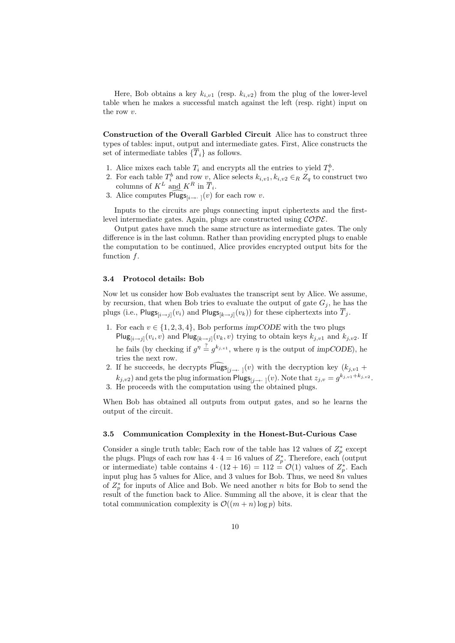Here, Bob obtains a key  $k_{i,v1}$  (resp.  $k_{i,v2}$ ) from the plug of the lower-level table when he makes a successful match against the left (resp. right) input on the row v.

Construction of the Overall Garbled Circuit Alice has to construct three types of tables: input, output and intermediate gates. First, Alice constructs the set of intermediate tables  $\{\overline{T}_i\}$  as follows.

- 1. Alice mixes each table  $T_i$  and encrypts all the entries to yield  $T_i^b$ .
- 2. For each table  $T_i^b$  and row  $v$ , Alice selects  $k_{i,v1}, k_{i,v2} \in R Z_q$  to construct two columns of  $K^L$  and  $K^R$  in  $\overline{T}_i$ .
- 3. Alice computes  $\text{Plugs}_{[i \rightarrow \cdot]}(v)$  for each row v.

Inputs to the circuits are plugs connecting input ciphertexts and the firstlevel intermediate gates. Again, plugs are constructed using CODE.

Output gates have much the same structure as intermediate gates. The only difference is in the last column. Rather than providing encrypted plugs to enable the computation to be continued, Alice provides encrypted output bits for the function f.

#### 3.4 Protocol details: Bob

Now let us consider how Bob evaluates the transcript sent by Alice. We assume, by recursion, that when Bob tries to evaluate the output of gate  $G_j$ , he has the plugs (i.e., Plugs<sub>[i→j]</sub>( $v_i$ ) and Plugs<sub>[k→j]</sub>( $v_k$ )) for these ciphertexts into  $T_j$ .

- 1. For each  $v \in \{1, 2, 3, 4\}$ , Bob performs impCODE with the two plugs Plug<sub>[i→j]</sub>(v<sub>i</sub>, v) and Plug<sub>[k→j]</sub>(v<sub>k</sub>, v) trying to obtain keys  $k_{j, v1}$  and  $k_{j, v2}$ . If he fails (by checking if  $g^{\eta} \stackrel{?}{=} g^{k_{j,v1}}$ , where  $\eta$  is the output of impCODE), he tries the next row.
- 2. If he succeeds, he decrypts  $\text{Plugs}_{[j\rightarrow 1]}(v)$  with the decryption key  $(k_{j,v1} +$  $(k_{j,v2})$  and gets the plug information  $\text{Plugs}_{[j\rightarrow\cdots]}(v)$ . Note that  $z_{j,v} = g^{k_{j,v1} + k_{j,v2}}$ .
- 3. He proceeds with the computation using the obtained plugs.

When Bob has obtained all outputs from output gates, and so he learns the output of the circuit.

#### 3.5 Communication Complexity in the Honest-But-Curious Case

Consider a single truth table; Each row of the table has 12 values of  $Z_p^*$  except the plugs. Plugs of each row has  $4 \cdot 4 = 16$  values of  $Z_p^*$ . Therefore, each (output or intermediate) table contains  $4 \cdot (12 + 16) = 112 = \mathcal{O}(1)$  values of  $Z_p^*$ . Each input plug has 5 values for Alice, and 3 values for Bob. Thus, we need  $8n$  values of  $Z_p^*$  for inputs of Alice and Bob. We need another n bits for Bob to send the result of the function back to Alice. Summing all the above, it is clear that the total communication complexity is  $\mathcal{O}((m+n) \log p)$  bits.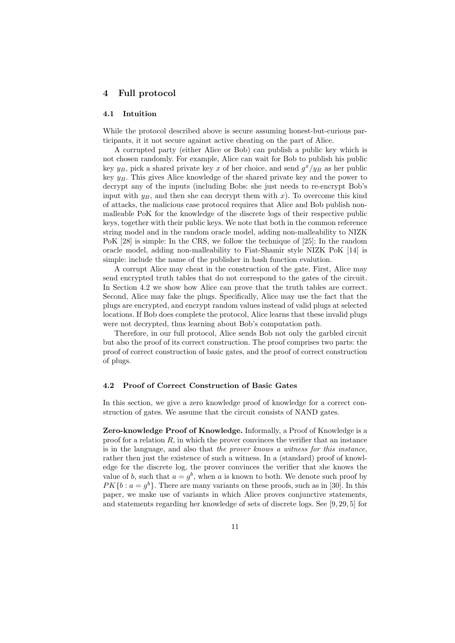# 4 Full protocol

# 4.1 Intuition

While the protocol described above is secure assuming honest-but-curious participants, it it not secure against active cheating on the part of Alice.

A corrupted party (either Alice or Bob) can publish a public key which is not chosen randomly. For example, Alice can wait for Bob to publish his public key  $y_B$ , pick a shared private key x of her choice, and send  $g^x/y_B$  as her public key  $y_B$ . This gives Alice knowledge of the shared private key and the power to decrypt any of the inputs (including Bobs: she just needs to re-encrypt Bob's input with  $y_B$ , and then she can decrypt them with x). To overcome this kind of attacks, the malicious case protocol requires that Alice and Bob publish nonmalleable PoK for the knowledge of the discrete logs of their respective public keys, together with their public keys. We note that both in the common reference string model and in the random oracle model, adding non-malleability to NIZK PoK [28] is simple: In the CRS, we follow the technique of [25]; In the random oracle model, adding non-malleability to Fiat-Shamir style NIZK PoK [14] is simple: include the name of the publisher in hash function evalution.

A corrupt Alice may cheat in the construction of the gate. First, Alice may send encrypted truth tables that do not correspond to the gates of the circuit. In Section 4.2 we show how Alice can prove that the truth tables are correct. Second, Alice may fake the plugs. Specifically, Alice may use the fact that the plugs are encrypted, and encrypt random values instead of valid plugs at selected locations. If Bob does complete the protocol, Alice learns that these invalid plugs were not decrypted, thus learning about Bob's computation path.

Therefore, in our full protocol, Alice sends Bob not only the garbled circuit but also the proof of its correct construction. The proof comprises two parts: the proof of correct construction of basic gates, and the proof of correct construction of plugs.

#### 4.2 Proof of Correct Construction of Basic Gates

In this section, we give a zero knowledge proof of knowledge for a correct construction of gates. We assume that the circuit consists of NAND gates.

Zero-knowledge Proof of Knowledge. Informally, a Proof of Knowledge is a proof for a relation  $R$ , in which the prover convinces the verifier that an instance is in the language, and also that the prover knows a witness for this instance, rather then just the existence of such a witness. In a (standard) proof of knowledge for the discrete log, the prover convinces the verifier that she knows the value of b, such that  $a = g<sup>b</sup>$ , when a is known to both. We denote such proof by  $PK{b: a = g<sup>b</sup>}$ . There are many variants on these proofs, such as in [30]. In this paper, we make use of variants in which Alice proves conjunctive statements, and statements regarding her knowledge of sets of discrete logs. See [9, 29, 5] for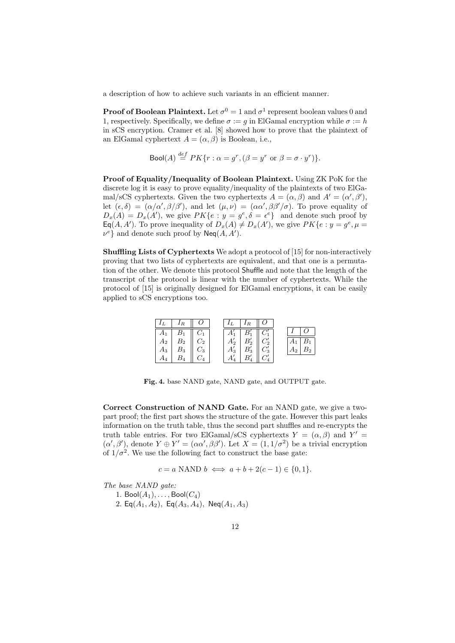a description of how to achieve such variants in an efficient manner.

**Proof of Boolean Plaintext.** Let  $\sigma^0 = 1$  and  $\sigma^1$  represent boolean values 0 and 1, respectively. Specifically, we define  $\sigma := g$  in ElGamal encryption while  $\sigma := h$ in sCS encryption. Cramer et al. [8] showed how to prove that the plaintext of an ElGamal cyphertext  $A = (\alpha, \beta)$  is Boolean, i.e.,

$$
\text{Bool}(A) \stackrel{def}{=} PK\{r : \alpha = g^r, (\beta = y^r \text{ or } \beta = \sigma \cdot y^r)\}.
$$

Proof of Equality/Inequality of Boolean Plaintext. Using ZK PoK for the discrete log it is easy to prove equality/inequality of the plaintexts of two ElGamal/sCS cyphertexts. Given the two cyphertexts  $A = (\alpha, \beta)$  and  $A' = (\alpha', \beta')$ , let  $(\epsilon, \delta) = (\alpha/\alpha', \beta/\beta')$ , and let  $(\mu, \nu) = (\alpha\alpha', \beta\beta'/\sigma)$ . To prove equality of  $D_x(A) = D_x(A')$ , we give  $PK\{e : y = g^e, \delta = \epsilon^e\}$  and denote such proof by  $\textsf{Eq}(A, A').$  To prove inequality of  $D_x(A) \neq D_x(A')$ , we give  $PK\{e : y = g^e, \mu = g^e\}$  $\nu^e$  and denote such proof by Neq(A, A').

Shuffling Lists of Cyphertexts We adopt a protocol of [15] for non-interactively proving that two lists of cyphertexts are equivalent, and that one is a permutation of the other. We denote this protocol Shuffle and note that the length of the transcript of the protocol is linear with the number of cyphertexts. While the protocol of [15] is originally designed for ElGamal encryptions, it can be easily applied to sCS encryptions too.

|       | $\mid I_R \parallel O$ |                     | $+I_L^-+\cdot$ |          | $I_R \parallel O$ |    |  |
|-------|------------------------|---------------------|----------------|----------|-------------------|----|--|
|       |                        | $B_1 \parallel C_1$ |                | $B'_{1}$ | $\parallel C_1'$  |    |  |
| $A_2$ | B <sub>2</sub>         |                     | $A_2'$         |          | $C_2'$            |    |  |
| $A_3$ | $B_3$                  |                     | $A'_3$         |          | $C_3'$            | 12 |  |
|       |                        | $\parallel C_4$     | $A'_{4}$       | $B'_4$   | $\mid C_4'$       |    |  |

Fig. 4. base NAND gate, NAND gate, and OUTPUT gate.

Correct Construction of NAND Gate. For an NAND gate, we give a twopart proof; the first part shows the structure of the gate. However this part leaks information on the truth table, thus the second part shuffles and re-encrypts the truth table entries. For two ElGamal/sCS cyphertexts  $Y = (\alpha, \beta)$  and  $Y' =$  $(\alpha', \beta')$ , denote  $Y \oplus Y' = (\alpha \alpha', \beta \beta')$ . Let  $X = (1, 1/\sigma^2)$  be a trivial encryption of  $1/\sigma^2$ . We use the following fact to construct the base gate:

$$
c = a \text{ NAND } b \iff a + b + 2(c - 1) \in \{0, 1\}.
$$

The base NAND gate:

1. Bool $(A_1), \ldots$ , Bool $(C_4)$ 

2. Eq $(A_1, A_2)$ , Eq $(A_3, A_4)$ , Neq $(A_1, A_3)$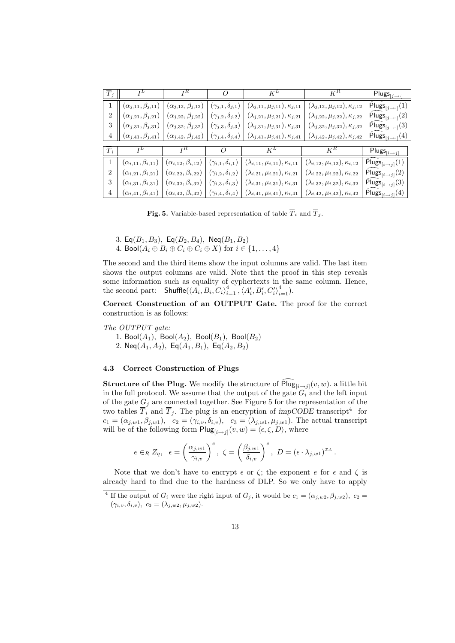| $\overline{T}_i$ | $I^R$<br>$I^L$                  |                                                                                             | O $K^L$ $K^R$                     |                                                                                      |                                             | $\mathsf{Plugs}_{[j\rightarrow\cdot]}$               |
|------------------|---------------------------------|---------------------------------------------------------------------------------------------|-----------------------------------|--------------------------------------------------------------------------------------|---------------------------------------------|------------------------------------------------------|
|                  | $(\alpha_{j,11}, \beta_{j,11})$ | $(\alpha_{j,12}, \beta_{j,12})$                                                             | $(\gamma_{j,1},\delta_{j,1})\mid$ | $(\lambda_{j,11}, \mu_{j,11}), \kappa_{j,11}$                                        | $(\lambda_{j,12},\mu_{j,12}),\kappa_{j,12}$ | $\widehat{Plugs}_{[j\rightarrow 1]}(1)$              |
| $\overline{2}$   | $(\alpha_{j,21}, \beta_{j,21})$ | $(\alpha_{j,22}, \beta_{j,22})$                                                             | $(\gamma_{j,2},\delta_{j,2})$     | $(\lambda_{j,21},\mu_{j,21}),\kappa_{j,21}$                                          | $(\lambda_{j,22},\mu_{j,22}),\kappa_{j,22}$ | $\overline{\mathrm{Plugs}}_{[j\rightarrow\cdot]}(2)$ |
| 3                | $(\alpha_{j,31}, \beta_{j,31})$ | $(\alpha_{j,32},\beta_{j,32})$                                                              | $(\gamma_{j,3},\delta_{j,3})$     | $(\lambda_{j,31},\mu_{j,31}),\kappa_{j,31}$                                          | $(\lambda_{j,32},\mu_{j,32}),\kappa_{j,32}$ | $\text{Plugs}_{[j\rightarrow \cdot]}(3)$             |
| 4                |                                 | $(\alpha_{j,41}, \beta_{j,41}) \mid (\alpha_{j,42}, \beta_{j,42})$                          |                                   | $(\gamma_{j,4},\delta_{j,4})\bigm \;(\lambda_{j,41},\mu_{j,41}),\kappa_{j,41}\bigm $ | $(\lambda_{j,42},\mu_{j,42}),\kappa_{j,42}$ | $\text{Plugs}_{[j\rightarrow 1]}(4)$                 |
| $\overline{T}_i$ | $I^L$                           | $I^R$                                                                                       | $\overline{O}$                    | $K^L$                                                                                | $K^{R}$                                     | $\mathsf{Plugs}_{[i\rightarrow j]}$                  |
|                  |                                 | $(\alpha_{i,11},\beta_{i,11})   (\alpha_{i,12},\beta_{i,12})   (\gamma_{i,1},\delta_{i,1})$ |                                   | $(\lambda_{i,11}, \mu_{i,11}), \kappa_{i,11}$                                        | $(\lambda_{i,12},\mu_{i,12}),\kappa_{i,12}$ | $\widehat{\text{Plugs}}_{[i\rightarrow j]}(1)$       |
| $\overline{2}$   | $(\alpha_{i,21},\beta_{i,21})$  | $(\alpha_{i,22}, \beta_{i,22})$                                                             | $(\gamma_{i,2},\delta_{i,2})$     | $(\lambda_{i,21},\mu_{i,21}),\kappa_{i,21}$                                          | $(\lambda_{i,22},\mu_{i,22}),\kappa_{i,22}$ | $\widehat{\text{Plugs}}_{[i\rightarrow j]}(2)$       |
| 3                | $(\alpha_{i,31},\beta_{i,31})$  | $(\alpha_{i,32},\beta_{i,32})$                                                              | $(\gamma_{i,3},\delta_{i,3})$     | $(\lambda_{i,31}, \mu_{i,31}), \kappa_{i,31}$                                        | $(\lambda_{i,32},\mu_{i,32}),\kappa_{i,32}$ | $\tilde{PI}$ ugs <sub>[i →j]</sub> (3)               |
| 4                |                                 | $(\alpha_{i,41},\beta_{i,41})   (\alpha_{i,42},\beta_{i,42})   (\gamma_{i,4},\delta_{i,4})$ |                                   | $(\lambda_{i,41}, \mu_{i,41}), \kappa_{i,41}$                                        | $(\lambda_{i,42},\mu_{i,42}),\kappa_{i,42}$ | $\text{Plugs}_{[i\rightarrow j]}(4)$                 |

**Fig. 5.** Variable-based representation of table  $\overline{T}_i$  and  $\overline{T}_j$ .

- 3. Eq( $B_1, B_3$ ), Eq( $B_2, B_4$ ), Neq( $B_1, B_2$ )
- 4. Bool $(A_i \oplus B_i \oplus C_i \oplus C_i \oplus X)$  for  $i \in \{1, \ldots, 4\}$

The second and the third items show the input columns are valid. The last item shows the output columns are valid. Note that the proof in this step reveals some information such as equality of cyphertexts in the same column. Hence, the second part: Shuffle $(\langle A_i, B_i, C_i \rangle_{i=1}^4, \langle A_i', B_i', C_i' \rangle_{i=1}^4)$ .

Correct Construction of an OUTPUT Gate. The proof for the correct construction is as follows:

The OUTPUT gate:

1. Bool $(A_1)$ , Bool $(A_2)$ , Bool $(B_1)$ , Bool $(B_2)$ 

2. Neq $(A_1, A_2)$ , Eq $(A_1, B_1)$ , Eq $(A_2, B_2)$ 

## 4.3 Correct Construction of Plugs

**Structure of the Plug.** We modify the structure of  $\text{Plug}_{[i\rightarrow j]}(v, w)$ . a little bit in the full protocol. We assume that the output of the gate  $G_i$  and the left input of the gate  $G_j$  are connected together. See Figure 5 for the representation of the two tables  $\overline{T}_i$  and  $\overline{T}_j$ . The plug is an encryption of impCODE transcript<sup>4</sup> for  $c_1 = (\alpha_{j,w1}, \beta_{j,w1}), \quad c_2 = (\gamma_{i,v}, \delta_{i,v}), \quad c_3 = (\lambda_{j,w1}, \mu_{j,w1}).$  The actual transcript will be of the following form  $\text{Plug}_{[i\rightarrow j]}(v, w) = \langle \epsilon, \zeta, D \rangle$ , where

$$
e \in_R Z_q, \quad \epsilon = \left(\frac{\alpha_{j,w1}}{\gamma_{i,v}}\right)^e, \ \zeta = \left(\frac{\beta_{j,w1}}{\delta_{i,v}}\right)^e, \ D = \left(\epsilon \cdot \lambda_{j,w1}\right)^{x_A}.
$$

Note that we don't have to encrypt  $\epsilon$  or  $\zeta$ ; the exponent  $\epsilon$  for  $\epsilon$  and  $\zeta$  is already hard to find due to the hardness of DLP. So we only have to apply

<sup>&</sup>lt;sup>4</sup> If the output of  $G_i$  were the right input of  $G_j$ , it would be  $c_1 = (\alpha_{j,w2}, \beta_{j,w2}), c_2 =$  $(\gamma_{i,v}, \delta_{i,v}), c_3 = (\lambda_{j,w2}, \mu_{j,w2}).$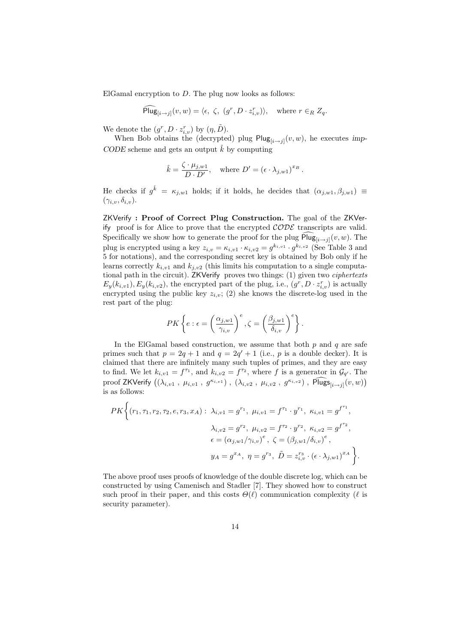ElGamal encryption to D. The plug now looks as follows:

$$
\widehat{\text{Plug}}_{[i \to j]}(v, w) = \langle \epsilon, \zeta, (g^r, D \cdot z_{i,v}^r) \rangle, \quad \text{where } r \in_R Z_q.
$$

We denote the  $(g^r, D \cdot z_{i,v}^r)$  by  $(\eta, \tilde{D})$ .

When Bob obtains the (decrypted) plug  $\text{Plug}_{[i\rightarrow j]}(v, w)$ , he executes imp-CODE scheme and gets an output  $\hat{k}$  by computing

$$
\hat{k} = \frac{\zeta \cdot \mu_{j,w1}}{D \cdot D'}, \quad \text{where } D' = (\epsilon \cdot \lambda_{j,w1})^{x_B}.
$$

He checks if  $g^{\hat{k}} = \kappa_{j,w1}$  holds; if it holds, he decides that  $(\alpha_{j,w1}, \beta_{j,w1}) \equiv$  $(\gamma_{i,v}, \delta_{i,v}).$ 

ZKVerify : Proof of Correct Plug Construction. The goal of the ZKVerify proof is for Alice to prove that the encrypted  $\mathcal{CODE}$  transcripts are valid. Specifically we show how to generate the proof for the plug  $\text{Plug}_{[i\rightarrow j]}(v, w)$ . The plug is encrypted using a key  $z_{i,v} = \kappa_{i,v1} \cdot \kappa_{i,v2} = g^{k_{i,v1}} \cdot g^{k_{i,v2}}$  (See Table 3 and 5 for notations), and the corresponding secret key is obtained by Bob only if he learns correctly  $k_{i,v1}$  and  $k_{i,v2}$  (this limits his computation to a single computational path in the circuit). ZKVerify proves two things: (1) given two *ciphertexts*  $E_y(k_{i,v1}), E_y(k_{i,v2}),$  the encrypted part of the plug, i.e.,  $(g^r, D \cdot z_{i,v}^r)$  is actually encrypted using the public key  $z_{i,v}$ ; (2) she knows the discrete-log used in the rest part of the plug:

$$
PK\left\{e: \epsilon = \left(\frac{\alpha_{j,w1}}{\gamma_{i,v}}\right)^e, \zeta = \left(\frac{\beta_{j,w1}}{\delta_{i,v}}\right)^e\right\}.
$$

In the ElGamal based construction, we assume that both  $p$  and  $q$  are safe primes such that  $p = 2q + 1$  and  $q = 2q' + 1$  (i.e., p is a double decker). It is claimed that there are infinitely many such tuples of primes, and they are easy to find. We let  $k_{i,v1} = f^{\tau_1}$ , and  $k_{i,v2} = f^{\tau_2}$ , where f is a generator in  $\mathcal{G}_{q'}$ . The proof ZKVerify  $((\lambda_{i,v1} , \mu_{i,v1} , g^{\kappa_{i,v1}})$  ,  $(\lambda_{i,v2} , \mu_{i,v2} , g^{\kappa_{i,v2}})$  ,  $\widehat{\text{Plugs}}_{[i\rightarrow j]}(v,w))$ is as follows:

$$
PK\Big\{(r_1, \tau_1, r_2, \tau_2, e, r_3, x_A): \lambda_{i,v1} = g^{r_1}, \mu_{i,v1} = f^{\tau_1} \cdot y^{r_1}, \ \kappa_{i,v1} = g^{f^{\tau_1}},
$$

$$
\lambda_{i,v2} = g^{r_2}, \ \mu_{i,v2} = f^{\tau_2} \cdot y^{r_2}, \ \kappa_{i,v2} = g^{f^{\tau_2}},
$$

$$
\epsilon = (\alpha_{j,w1}/\gamma_{i,v})^e, \ \zeta = (\beta_{j,w1}/\delta_{i,v})^e,
$$

$$
y_A = g^{xA}, \ \eta = g^{r_3}, \ \tilde{D} = z_{i,v}^{r_3} \cdot (\epsilon \cdot \lambda_{j,w1})^{xA} \Big\}.
$$

The above proof uses proofs of knowledge of the double discrete log, which can be constructed by using Camenisch and Stadler [7]. They showed how to construct such proof in their paper, and this costs  $\Theta(\ell)$  communication complexity ( $\ell$  is security parameter).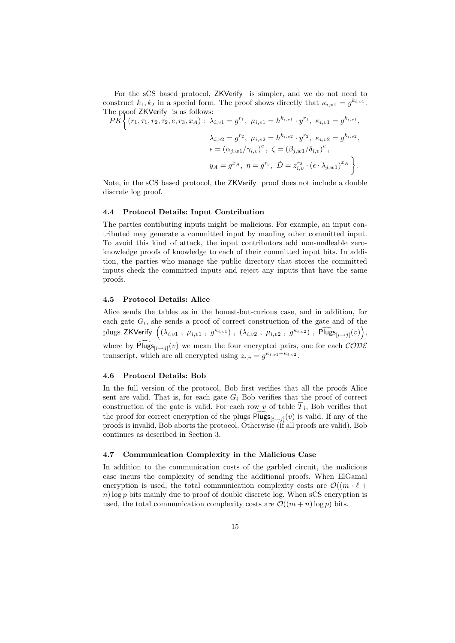For the sCS based protocol, ZKVerify is simpler, and we do not need to construct  $k_1, k_2$  in a special form. The proof shows directly that  $\kappa_{i,v1} = g^{k_{i,v1}}$ .

The proof ZKVerify is as follows:  
\n
$$
PK \left\{ (r_1, \tau_1, r_2, \tau_2, e, r_3, x_A) : \lambda_{i,v1} = g^{r_1}, \mu_{i,v1} = h^{k_{i,v1}} \cdot y^{r_1}, \ \kappa_{i,v1} = g^{k_{i,v1}},
$$
\n
$$
\lambda_{i,v2} = g^{r_2}, \ \mu_{i,v2} = h^{k_{i,v2}} \cdot y^{r_2}, \ \kappa_{i,v2} = g^{k_{i,v2}},
$$
\n
$$
\epsilon = (\alpha_{j,w1}/\gamma_{i,v})^e, \ \zeta = (\beta_{j,w1}/\delta_{i,v})^e,
$$
\n
$$
y_A = g^{x_A}, \ \eta = g^{r_3}, \ \tilde{D} = z_{i,v}^{r_3} \cdot (\epsilon \cdot \lambda_{j,w1})^{x_A} \right\}.
$$

Note, in the sCS based protocol, the ZKVerify proof does not include a double discrete log proof.

# 4.4 Protocol Details: Input Contribution

The parties contibuting inputs might be malicious. For example, an input contributed may generate a committed input by mauling other committed input. To avoid this kind of attack, the input contributors add non-malleable zeroknowledge proofs of knowledge to each of their committed input bits. In addition, the parties who manage the public directory that stores the committed inputs check the committed inputs and reject any inputs that have the same proofs.

#### 4.5 Protocol Details: Alice

Alice sends the tables as in the honest-but-curious case, and in addition, for each gate  $G_i$ , she sends a proof of correct construction of the gate and of the plugs ZKVerify  $\Big((\lambda_{i,v1} ~ , ~ \mu_{i,v1} ~ , ~ g^{\kappa_{i,v1}}) ~ , ~ (\lambda_{i,v2} ~ , ~ \mu_{i,v2} ~ , ~ g^{\kappa_{i,v2}}) ~ , ~ \widehat{\mathsf{Plugs}}_{[i \rightarrow j]}(v)\Big),$ where by  $\text{Plugs}_{[i\rightarrow j]}(v)$  we mean the four encrypted pairs, one for each  $\mathcal{CODE}$ transcript, which are all encrypted using  $z_{i,v} = g^{\kappa_{i,v1} + \kappa_{i,v2}}$ .

#### 4.6 Protocol Details: Bob

In the full version of the protocol, Bob first verifies that all the proofs Alice sent are valid. That is, for each gate  $G_i$  Bob verifies that the proof of correct construction of the gate is valid. For each row v of table  $\overline{T}_i$ , Bob verifies that the proof for correct encryption of the plugs  $\text{Plugs}_{[i\rightarrow j]}(v)$  is valid. If any of the proofs is invalid, Bob aborts the protocol. Otherwise (if all proofs are valid), Bob continues as described in Section 3.

# 4.7 Communication Complexity in the Malicious Case

In addition to the communication costs of the garbled circuit, the malicious case incurs the complexity of sending the additional proofs. When ElGamal encryption is used, the total communication complexity costs are  $\mathcal{O}((m \cdot \ell +$  $n)$  log p bits mainly due to proof of double discrete log. When sCS encryption is used, the total communication complexity costs are  $\mathcal{O}((m+n) \log p)$  bits.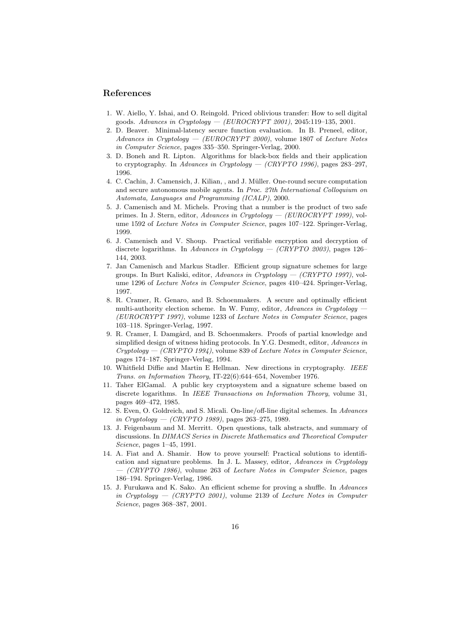# References

- 1. W. Aiello, Y. Ishai, and O. Reingold. Priced oblivious transfer: How to sell digital goods. Advances in Cryptology — (EUROCRYPT 2001), 2045:119-135, 2001.
- 2. D. Beaver. Minimal-latency secure function evaluation. In B. Preneel, editor, Advances in Cryptology  $-$  (EUROCRYPT 2000), volume 1807 of Lecture Notes in Computer Science, pages 335–350. Springer-Verlag, 2000.
- 3. D. Boneh and R. Lipton. Algorithms for black-box fields and their application to cryptography. In Advances in Cryptology — (CRYPTO 1996), pages 283–297, 1996.
- 4. C. Cachin, J. Camensich, J. Kilian, , and J. Müller. One-round secure computation and secure autonomous mobile agents. In Proc. 27th International Colloquium on Automata, Languages and Programming (ICALP), 2000.
- 5. J. Camenisch and M. Michels. Proving that a number is the product of two safe primes. In J. Stern, editor, Advances in Cryptology — (EUROCRYPT 1999), volume 1592 of Lecture Notes in Computer Science, pages 107–122. Springer-Verlag, 1999.
- 6. J. Camenisch and V. Shoup. Practical verifiable encryption and decryption of discrete logarithms. In Advances in Cryptology — (CRYPTO 2003), pages 126– 144, 2003.
- 7. Jan Camenisch and Markus Stadler. Efficient group signature schemes for large groups. In Burt Kaliski, editor, Advances in Cryptology — (CRYPTO 1997), volume 1296 of Lecture Notes in Computer Science, pages 410–424. Springer-Verlag, 1997.
- 8. R. Cramer, R. Genaro, and B. Schoenmakers. A secure and optimally efficient multi-authority election scheme. In W. Fumy, editor, Advances in Cryptology (EUROCRYPT 1997), volume 1233 of Lecture Notes in Computer Science, pages 103–118. Springer-Verlag, 1997.
- 9. R. Cramer, I. Damgård, and B. Schoenmakers. Proofs of partial knowledge and simplified design of witness hiding protocols. In Y.G. Desmedt, editor, Advances in  $Cryptology - (CRYPTO 1994)$ , volume 839 of Lecture Notes in Computer Science, pages 174–187. Springer-Verlag, 1994.
- 10. Whitfield Diffie and Martin E Hellman. New directions in cryptography. IEEE Trans. on Information Theory, IT-22(6):644–654, November 1976.
- 11. Taher ElGamal. A public key cryptosystem and a signature scheme based on discrete logarithms. In IEEE Transactions on Information Theory, volume 31, pages 469–472, 1985.
- 12. S. Even, O. Goldreich, and S. Micali. On-line/off-line digital schemes. In Advances in Cryptology — (CRYPTO 1989), pages 263-275, 1989.
- 13. J. Feigenbaum and M. Merritt. Open questions, talk abstracts, and summary of discussions. In DIMACS Series in Discrete Mathematics and Theoretical Computer Science, pages 1–45, 1991.
- 14. A. Fiat and A. Shamir. How to prove yourself: Practical solutions to identification and signature problems. In J. L. Massey, editor, Advances in Cryptology — (CRYPTO 1986), volume 263 of Lecture Notes in Computer Science, pages 186–194. Springer-Verlag, 1986.
- 15. J. Furukawa and K. Sako. An efficient scheme for proving a shuffle. In Advances in Cryptology — (CRYPTO 2001), volume 2139 of Lecture Notes in Computer Science, pages 368–387, 2001.